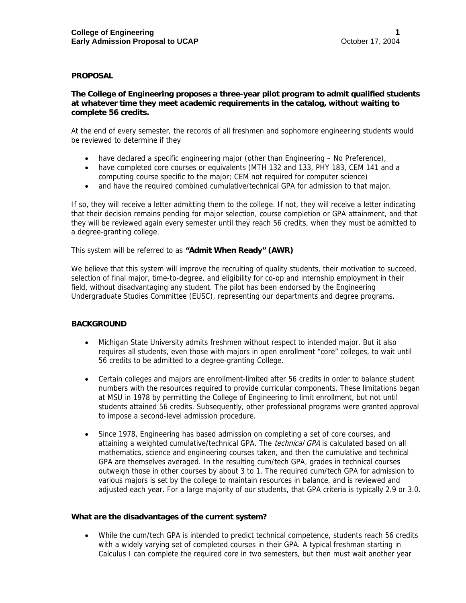## **PROPOSAL**

## **The College of Engineering proposes a three-year pilot program to admit qualified students at whatever time they meet academic requirements in the catalog, without waiting to complete 56 credits.**

At the end of every semester, the records of all freshmen and sophomore engineering students would be reviewed to determine if they

- have declared a specific engineering major (other than Engineering No Preference),
- have completed core courses or equivalents (MTH 132 and 133, PHY 183, CEM 141 and a computing course specific to the major; CEM not required for computer science)
- and have the required combined cumulative/technical GPA for admission to that major.

If so, they will receive a letter admitting them to the college. If not, they will receive a letter indicating that their decision remains pending for major selection, course completion or GPA attainment, and that they will be reviewed again every semester until they reach 56 credits, when they must be admitted to a degree-granting college.

This system will be referred to as **"Admit When Ready" (AWR)** 

We believe that this system will improve the recruiting of quality students, their motivation to succeed, selection of final major, time-to-degree, and eligibility for co-op and internship employment in their field, without disadvantaging any student. The pilot has been endorsed by the Engineering Undergraduate Studies Committee (EUSC), representing our departments and degree programs.

# **BACKGROUND**

- Michigan State University admits freshmen without respect to intended major. But it also requires all students, even those with majors in open enrollment "core" colleges, to wait until 56 credits to be admitted to a degree-granting College.
- Certain colleges and majors are enrollment-limited after 56 credits in order to balance student numbers with the resources required to provide curricular components. These limitations began at MSU in 1978 by permitting the College of Engineering to limit enrollment, but not until students attained 56 credits. Subsequently, other professional programs were granted approval to impose a second-level admission procedure.
- Since 1978, Engineering has based admission on completing a set of core courses, and attaining a weighted cumulative/technical GPA. The technical GPA is calculated based on all mathematics, science and engineering courses taken, and then the cumulative and technical GPA are themselves averaged. In the resulting cum/tech GPA, grades in technical courses outweigh those in other courses by about 3 to 1. The required cum/tech GPA for admission to various majors is set by the college to maintain resources in balance, and is reviewed and adjusted each year. For a large majority of our students, that GPA criteria is typically 2.9 or 3.0.

#### **What are the disadvantages of the current system?**

• While the cum/tech GPA is intended to predict technical competence, students reach 56 credits with a widely varying set of completed courses in their GPA. A typical freshman starting in Calculus I can complete the required core in two semesters, but then must wait another year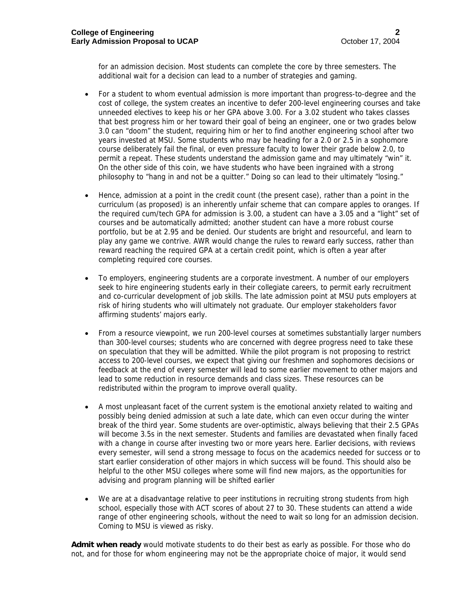for an admission decision. Most students can complete the core by three semesters. The additional wait for a decision can lead to a number of strategies and gaming.

- For a student to whom eventual admission is more important than progress-to-degree and the cost of college, the system creates an incentive to defer 200-level engineering courses and take unneeded electives to keep his or her GPA above 3.00. For a 3.02 student who takes classes that best progress him or her toward their goal of being an engineer, one or two grades below 3.0 can "doom" the student, requiring him or her to find another engineering school after two years invested at MSU. Some students who may be heading for a 2.0 or 2.5 in a sophomore course deliberately fail the final, or even pressure faculty to lower their grade below 2.0, to permit a repeat. These students understand the admission game and may ultimately "win" it. On the other side of this coin, we have students who have been ingrained with a strong philosophy to "hang in and not be a quitter." Doing so can lead to their ultimately "losing."
- Hence, admission at a point in the credit count (the present case), rather than a point in the curriculum (as proposed) is an inherently unfair scheme that can compare apples to oranges. If the required cum/tech GPA for admission is 3.00, a student can have a 3.05 and a "light" set of courses and be automatically admitted; another student can have a more robust course portfolio, but be at 2.95 and be denied. Our students are bright and resourceful, and learn to play any game we contrive. AWR would change the rules to reward early success, rather than reward reaching the required GPA at a certain credit point, which is often a year after completing required core courses.
- To employers, engineering students are a corporate investment. A number of our employers seek to hire engineering students early in their collegiate careers, to permit early recruitment and co-curricular development of job skills. The late admission point at MSU puts employers at risk of hiring students who will ultimately not graduate. Our employer stakeholders favor affirming students' majors early.
- From a resource viewpoint, we run 200-level courses at sometimes substantially larger numbers than 300-level courses; students who are concerned with degree progress need to take these on speculation that they will be admitted. While the pilot program is not proposing to restrict access to 200-level courses, we expect that giving our freshmen and sophomores decisions or feedback at the end of every semester will lead to some earlier movement to other majors and lead to some reduction in resource demands and class sizes. These resources can be redistributed within the program to improve overall quality.
- A most unpleasant facet of the current system is the emotional anxiety related to waiting and possibly being denied admission at such a late date, which can even occur during the winter break of the third year. Some students are over-optimistic, always believing that their 2.5 GPAs will become 3.5s in the next semester. Students and families are devastated when finally faced with a change in course after investing two or more years here. Earlier decisions, with reviews every semester, will send a strong message to focus on the academics needed for success or to start earlier consideration of other majors in which success will be found. This should also be helpful to the other MSU colleges where some will find new majors, as the opportunities for advising and program planning will be shifted earlier
- We are at a disadvantage relative to peer institutions in recruiting strong students from high school, especially those with ACT scores of about 27 to 30. These students can attend a wide range of other engineering schools, without the need to wait so long for an admission decision. Coming to MSU is viewed as risky.

**Admit when ready** would motivate students to do their best as early as possible. For those who do not, and for those for whom engineering may not be the appropriate choice of major, it would send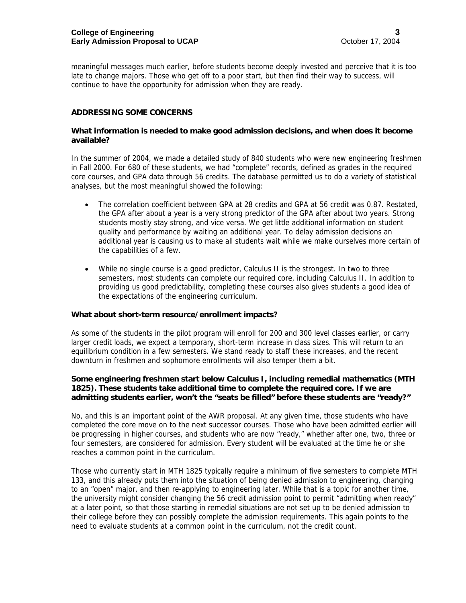meaningful messages much earlier, before students become deeply invested and perceive that it is too late to change majors. Those who get off to a poor start, but then find their way to success, will continue to have the opportunity for admission when they are ready.

## **ADDRESSING SOME CONCERNS**

### **What information is needed to make good admission decisions, and when does it become available?**

In the summer of 2004, we made a detailed study of 840 students who were new engineering freshmen in Fall 2000. For 680 of these students, we had "complete" records, defined as grades in the required core courses, and GPA data through 56 credits. The database permitted us to do a variety of statistical analyses, but the most meaningful showed the following:

- The correlation coefficient between GPA at 28 credits and GPA at 56 credit was 0.87. Restated, the GPA after about a year is a very strong predictor of the GPA after about two years. Strong students mostly stay strong, and vice versa. We get little additional information on student quality and performance by waiting an additional year. To delay admission decisions an additional year is causing us to make all students wait while we make ourselves more certain of the capabilities of a few.
- While no single course is a good predictor, Calculus II is the strongest. In two to three semesters, most students can complete our required core, including Calculus II. In addition to providing us good predictability, completing these courses also gives students a good idea of the expectations of the engineering curriculum.

#### **What about short-term resource/enrollment impacts?**

As some of the students in the pilot program will enroll for 200 and 300 level classes earlier, or carry larger credit loads, we expect a temporary, short-term increase in class sizes. This will return to an equilibrium condition in a few semesters. We stand ready to staff these increases, and the recent downturn in freshmen and sophomore enrollments will also temper them a bit.

## **Some engineering freshmen start below Calculus I, including remedial mathematics (MTH 1825). These students take additional time to complete the required core. If we are admitting students earlier, won't the "seats be filled" before these students are "ready?"**

No, and this is an important point of the AWR proposal. At any given time, those students who have completed the core move on to the next successor courses. Those who have been admitted earlier will be progressing in higher courses, and students who are now "ready," whether after one, two, three or four semesters, are considered for admission. Every student will be evaluated at the time he or she reaches a common point in the curriculum.

Those who currently start in MTH 1825 typically require a minimum of five semesters to complete MTH 133, and this already puts them into the situation of being denied admission to engineering, changing to an "open" major, and then re-applying to engineering later. While that is a topic for another time, the university might consider changing the 56 credit admission point to permit "admitting when ready" at a later point, so that those starting in remedial situations are not set up to be denied admission to their college before they can possibly complete the admission requirements. This again points to the need to evaluate students at a common point in the curriculum, not the credit count.